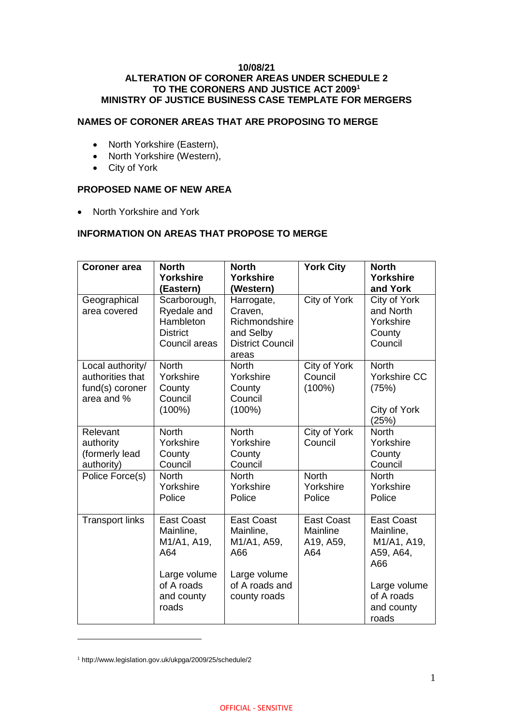### **10/08/21 ALTERATION OF CORONER AREAS UNDER SCHEDULE 2 TO THE CORONERS AND JUSTICE ACT 2009<sup>1</sup> MINISTRY OF JUSTICE BUSINESS CASE TEMPLATE FOR MERGERS**

## **NAMES OF CORONER AREAS THAT ARE PROPOSING TO MERGE**

- North Yorkshire (Eastern),
- North Yorkshire (Western),
- City of York

### **PROPOSED NAME OF NEW AREA**

• North Yorkshire and York

# **INFORMATION ON AREAS THAT PROPOSE TO MERGE**

| <b>Coroner</b> area                                                   | <b>North</b><br><b>Yorkshire</b><br>(Eastern)                                | <b>North</b><br>Yorkshire<br>(Western)                                                  | <b>York City</b>                                  | <b>North</b><br><b>Yorkshire</b><br>and York                      |
|-----------------------------------------------------------------------|------------------------------------------------------------------------------|-----------------------------------------------------------------------------------------|---------------------------------------------------|-------------------------------------------------------------------|
| Geographical<br>area covered                                          | Scarborough,<br>Ryedale and<br>Hambleton<br><b>District</b><br>Council areas | Harrogate,<br>Craven,<br>Richmondshire<br>and Selby<br><b>District Council</b><br>areas | City of York                                      | City of York<br>and North<br>Yorkshire<br>County<br>Council       |
| Local authority/<br>authorities that<br>fund(s) coroner<br>area and % | <b>North</b><br>Yorkshire<br>County<br>Council<br>$(100\%)$                  | <b>North</b><br>Yorkshire<br>County<br>Council<br>$(100\%)$                             | City of York<br>Council<br>$(100\%)$              | <b>North</b><br>Yorkshire CC<br>(75%)<br>City of York<br>(25%)    |
| Relevant<br>authority<br>(formerly lead<br>authority)                 | <b>North</b><br>Yorkshire<br>County<br>Council                               | <b>North</b><br>Yorkshire<br>County<br>Council                                          | City of York<br>Council                           | <b>North</b><br>Yorkshire<br>County<br>Council                    |
| Police Force(s)                                                       | <b>North</b><br>Yorkshire<br>Police                                          | <b>North</b><br>Yorkshire<br>Police                                                     | <b>North</b><br>Yorkshire<br>Police               | <b>North</b><br>Yorkshire<br>Police                               |
| <b>Transport links</b>                                                | <b>East Coast</b><br>Mainline,<br>M1/A1, A19,<br>A64                         | <b>East Coast</b><br>Mainline,<br>M1/A1, A59,<br>A66                                    | <b>East Coast</b><br>Mainline<br>A19, A59,<br>A64 | <b>East Coast</b><br>Mainline,<br>M1/A1, A19,<br>A59, A64,<br>A66 |
|                                                                       | Large volume<br>of A roads<br>and county<br>roads                            | Large volume<br>of A roads and<br>county roads                                          |                                                   | Large volume<br>of A roads<br>and county<br>roads                 |

<sup>1</sup> http://www.legislation.gov.uk/ukpga/2009/25/schedule/2

 $\overline{a}$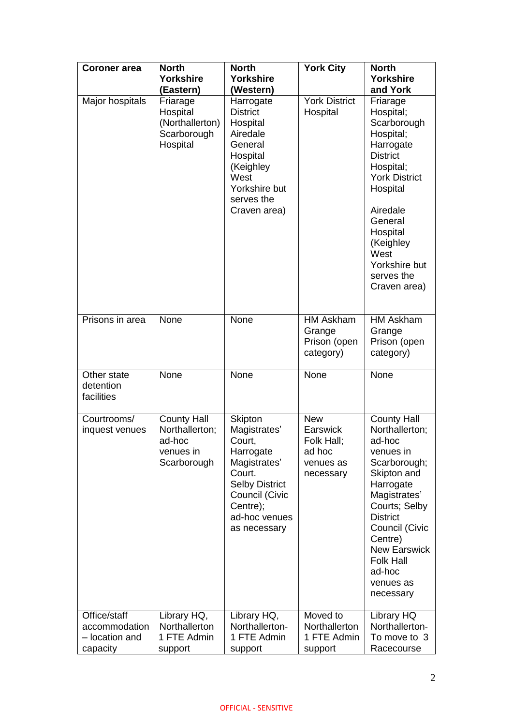| <b>Coroner</b> area                                         | <b>North</b><br><b>Yorkshire</b>                                           | <b>North</b><br><b>Yorkshire</b>                                                                                                                                        | <b>York City</b>                                                         | <b>North</b><br><b>Yorkshire</b>                                                                                                                                                                                                                                        |
|-------------------------------------------------------------|----------------------------------------------------------------------------|-------------------------------------------------------------------------------------------------------------------------------------------------------------------------|--------------------------------------------------------------------------|-------------------------------------------------------------------------------------------------------------------------------------------------------------------------------------------------------------------------------------------------------------------------|
|                                                             | (Eastern)                                                                  | (Western)                                                                                                                                                               |                                                                          | and York                                                                                                                                                                                                                                                                |
| Major hospitals                                             | Friarage<br>Hospital<br>(Northallerton)<br>Scarborough<br>Hospital         | Harrogate<br><b>District</b><br>Hospital<br>Airedale<br>General<br>Hospital<br>(Keighley<br>West<br>Yorkshire but<br>serves the<br>Craven area)                         | <b>York District</b><br>Hospital                                         | Friarage<br>Hospital;<br>Scarborough<br>Hospital;<br>Harrogate<br><b>District</b><br>Hospital;<br><b>York District</b><br>Hospital<br>Airedale<br>General<br>Hospital<br>(Keighley<br>West<br>Yorkshire but<br>serves the<br>Craven area)                               |
| Prisons in area                                             | None                                                                       | None                                                                                                                                                                    | <b>HM Askham</b><br>Grange<br>Prison (open<br>category)                  | <b>HM Askham</b><br>Grange<br>Prison (open<br>category)                                                                                                                                                                                                                 |
| Other state<br>detention<br>facilities                      | None                                                                       | None                                                                                                                                                                    | None                                                                     | None                                                                                                                                                                                                                                                                    |
| Courtrooms/<br>inquest venues                               | <b>County Hall</b><br>Northallerton;<br>ad-hoc<br>venues in<br>Scarborough | <b>Skipton</b><br>Magistrates'<br>Court,<br>Harrogate<br>Magistrates'<br>Court.<br><b>Selby District</b><br>Council (Civic<br>Centre);<br>ad-hoc venues<br>as necessary | <b>New</b><br>Earswick<br>Folk Hall;<br>ad hoc<br>venues as<br>necessary | <b>County Hall</b><br>Northallerton;<br>ad-hoc<br>venues in<br>Scarborough;<br>Skipton and<br>Harrogate<br>Magistrates'<br>Courts; Selby<br><b>District</b><br>Council (Civic<br>Centre)<br><b>New Earswick</b><br><b>Folk Hall</b><br>ad-hoc<br>venues as<br>necessary |
| Office/staff<br>accommodation<br>- location and<br>capacity | Library HQ,<br>Northallerton<br>1 FTE Admin<br>support                     | Library HQ,<br>Northallerton-<br>1 FTE Admin<br>support                                                                                                                 | Moved to<br>Northallerton<br>1 FTE Admin<br>support                      | Library HQ<br>Northallerton-<br>To move to 3<br>Racecourse                                                                                                                                                                                                              |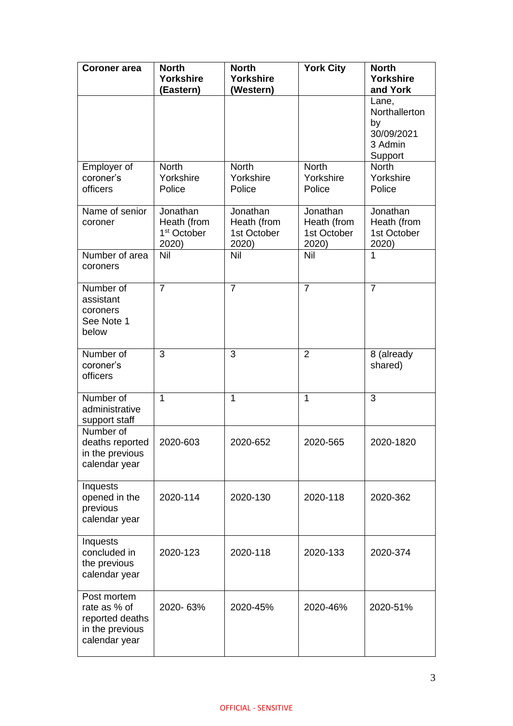| <b>Coroner</b> area                                                                | <b>North</b>                                                | <b>North</b>                                    | <b>York City</b>                                | <b>North</b>                                                     |
|------------------------------------------------------------------------------------|-------------------------------------------------------------|-------------------------------------------------|-------------------------------------------------|------------------------------------------------------------------|
|                                                                                    | <b>Yorkshire</b>                                            | <b>Yorkshire</b>                                |                                                 | <b>Yorkshire</b>                                                 |
|                                                                                    | (Eastern)                                                   | (Western)                                       |                                                 | and York                                                         |
|                                                                                    |                                                             |                                                 |                                                 | Lane,<br>Northallerton<br>by<br>30/09/2021<br>3 Admin<br>Support |
| Employer of<br>coroner's<br>officers                                               | <b>North</b><br>Yorkshire<br>Police                         | <b>North</b><br>Yorkshire<br>Police             | <b>North</b><br>Yorkshire<br>Police             | <b>North</b><br>Yorkshire<br>Police                              |
| Name of senior<br>coroner                                                          | Jonathan<br>Heath (from<br>1 <sup>st</sup> October<br>2020) | Jonathan<br>Heath (from<br>1st October<br>2020) | Jonathan<br>Heath (from<br>1st October<br>2020) | Jonathan<br>Heath (from<br>1st October<br>2020)                  |
| Number of area<br>coroners                                                         | Nil                                                         | Nil                                             | Nil                                             | 1                                                                |
| Number of<br>assistant<br>coroners<br>See Note 1<br>below                          | $\overline{7}$                                              | $\overline{7}$                                  | $\overline{7}$                                  | $\overline{7}$                                                   |
| Number of<br>coroner's<br>officers                                                 | 3                                                           | 3                                               | $\overline{2}$                                  | 8 (already<br>shared)                                            |
| Number of<br>administrative<br>support staff                                       | 1                                                           | $\mathbf{1}$                                    | 1                                               | 3                                                                |
| Number of<br>deaths reported<br>in the previous<br>calendar year                   | 2020-603                                                    | 2020-652                                        | 2020-565                                        | 2020-1820                                                        |
| Inquests<br>opened in the<br>previous<br>calendar year                             | 2020-114                                                    | 2020-130                                        | 2020-118                                        | 2020-362                                                         |
| Inquests<br>concluded in<br>the previous<br>calendar year                          | 2020-123                                                    | 2020-118                                        | 2020-133                                        | 2020-374                                                         |
| Post mortem<br>rate as % of<br>reported deaths<br>in the previous<br>calendar year | 2020-63%                                                    | 2020-45%                                        | 2020-46%                                        | 2020-51%                                                         |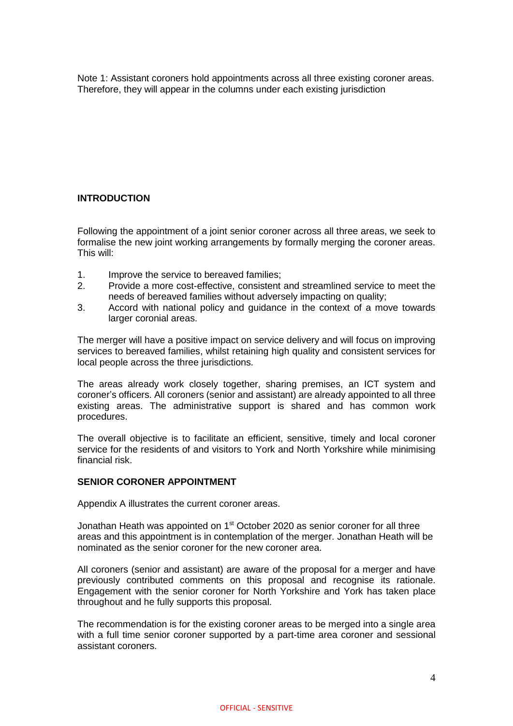Note 1: Assistant coroners hold appointments across all three existing coroner areas. Therefore, they will appear in the columns under each existing jurisdiction

# **INTRODUCTION**

Following the appointment of a joint senior coroner across all three areas, we seek to formalise the new joint working arrangements by formally merging the coroner areas. This will:

- 1. Improve the service to bereaved families;
- 2. Provide a more cost-effective, consistent and streamlined service to meet the needs of bereaved families without adversely impacting on quality;
- 3. Accord with national policy and guidance in the context of a move towards larger coronial areas.

The merger will have a positive impact on service delivery and will focus on improving services to bereaved families, whilst retaining high quality and consistent services for local people across the three jurisdictions.

The areas already work closely together, sharing premises, an ICT system and coroner's officers. All coroners (senior and assistant) are already appointed to all three existing areas. The administrative support is shared and has common work procedures.

The overall objective is to facilitate an efficient, sensitive, timely and local coroner service for the residents of and visitors to York and North Yorkshire while minimising financial risk.

## **SENIOR CORONER APPOINTMENT**

Appendix A illustrates the current coroner areas.

Jonathan Heath was appointed on 1st October 2020 as senior coroner for all three areas and this appointment is in contemplation of the merger. Jonathan Heath will be nominated as the senior coroner for the new coroner area.

All coroners (senior and assistant) are aware of the proposal for a merger and have previously contributed comments on this proposal and recognise its rationale. Engagement with the senior coroner for North Yorkshire and York has taken place throughout and he fully supports this proposal.

The recommendation is for the existing coroner areas to be merged into a single area with a full time senior coroner supported by a part-time area coroner and sessional assistant coroners.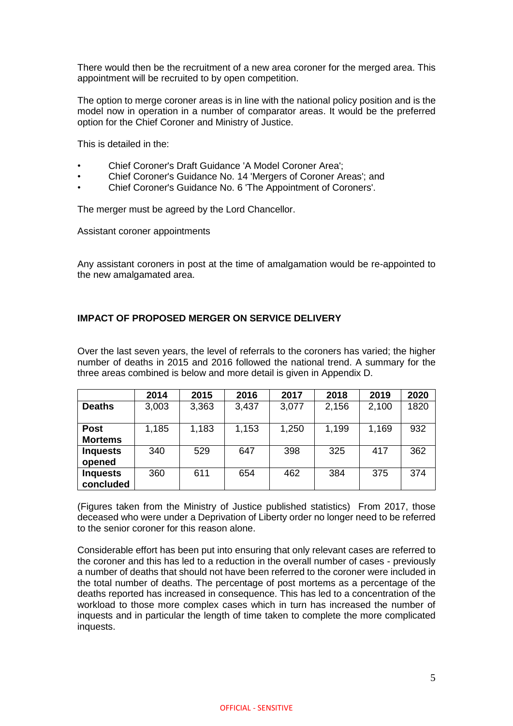There would then be the recruitment of a new area coroner for the merged area. This appointment will be recruited to by open competition.

The option to merge coroner areas is in line with the national policy position and is the model now in operation in a number of comparator areas. It would be the preferred option for the Chief Coroner and Ministry of Justice.

This is detailed in the:

- Chief Coroner's Draft Guidance 'A Model Coroner Area';
- Chief Coroner's Guidance No. 14 'Mergers of Coroner Areas'; and
- Chief Coroner's Guidance No. 6 'The Appointment of Coroners'.

The merger must be agreed by the Lord Chancellor.

Assistant coroner appointments

Any assistant coroners in post at the time of amalgamation would be re-appointed to the new amalgamated area.

### **IMPACT OF PROPOSED MERGER ON SERVICE DELIVERY**

Over the last seven years, the level of referrals to the coroners has varied; the higher number of deaths in 2015 and 2016 followed the national trend. A summary for the three areas combined is below and more detail is given in Appendix D.

|                               | 2014  | 2015  | 2016  | 2017  | 2018  | 2019  | 2020 |
|-------------------------------|-------|-------|-------|-------|-------|-------|------|
| <b>Deaths</b>                 | 3,003 | 3,363 | 3,437 | 3,077 | 2,156 | 2,100 | 1820 |
| <b>Post</b><br><b>Mortems</b> | 1,185 | 1,183 | 1,153 | 1,250 | 1,199 | 1,169 | 932  |
| <b>Inquests</b><br>opened     | 340   | 529   | 647   | 398   | 325   | 417   | 362  |
| <b>Inquests</b><br>concluded  | 360   | 611   | 654   | 462   | 384   | 375   | 374  |

(Figures taken from the Ministry of Justice published statistics) From 2017, those deceased who were under a Deprivation of Liberty order no longer need to be referred to the senior coroner for this reason alone.

Considerable effort has been put into ensuring that only relevant cases are referred to the coroner and this has led to a reduction in the overall number of cases - previously a number of deaths that should not have been referred to the coroner were included in the total number of deaths. The percentage of post mortems as a percentage of the deaths reported has increased in consequence. This has led to a concentration of the workload to those more complex cases which in turn has increased the number of inquests and in particular the length of time taken to complete the more complicated inquests.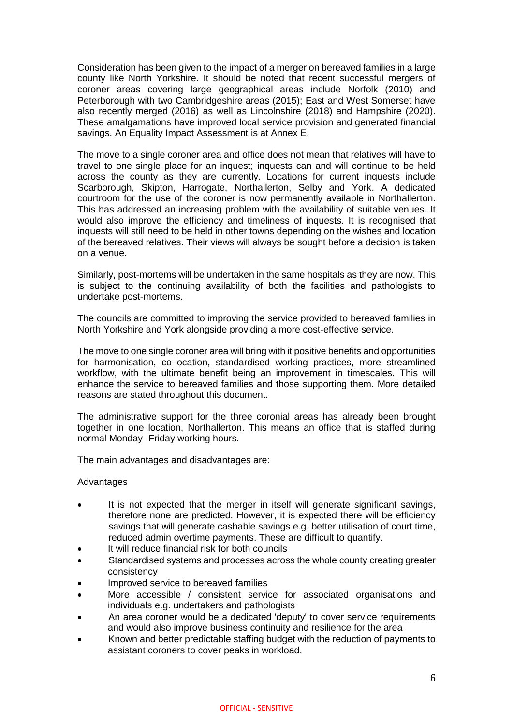Consideration has been given to the impact of a merger on bereaved families in a large county like North Yorkshire. It should be noted that recent successful mergers of coroner areas covering large geographical areas include Norfolk (2010) and Peterborough with two Cambridgeshire areas (2015); East and West Somerset have also recently merged (2016) as well as Lincolnshire (2018) and Hampshire (2020). These amalgamations have improved local service provision and generated financial savings. An Equality Impact Assessment is at Annex E.

The move to a single coroner area and office does not mean that relatives will have to travel to one single place for an inquest; inquests can and will continue to be held across the county as they are currently. Locations for current inquests include Scarborough, Skipton, Harrogate, Northallerton, Selby and York. A dedicated courtroom for the use of the coroner is now permanently available in Northallerton. This has addressed an increasing problem with the availability of suitable venues. It would also improve the efficiency and timeliness of inquests. It is recognised that inquests will still need to be held in other towns depending on the wishes and location of the bereaved relatives. Their views will always be sought before a decision is taken on a venue.

Similarly, post-mortems will be undertaken in the same hospitals as they are now. This is subject to the continuing availability of both the facilities and pathologists to undertake post-mortems.

The councils are committed to improving the service provided to bereaved families in North Yorkshire and York alongside providing a more cost-effective service.

The move to one single coroner area will bring with it positive benefits and opportunities for harmonisation, co-location, standardised working practices, more streamlined workflow, with the ultimate benefit being an improvement in timescales. This will enhance the service to bereaved families and those supporting them. More detailed reasons are stated throughout this document.

The administrative support for the three coronial areas has already been brought together in one location, Northallerton. This means an office that is staffed during normal Monday- Friday working hours.

The main advantages and disadvantages are:

#### Advantages

- It is not expected that the merger in itself will generate significant savings, therefore none are predicted. However, it is expected there will be efficiency savings that will generate cashable savings e.g. better utilisation of court time, reduced admin overtime payments. These are difficult to quantify.
- It will reduce financial risk for both councils
- Standardised systems and processes across the whole county creating greater consistency
- Improved service to bereaved families
- More accessible / consistent service for associated organisations and individuals e.g. undertakers and pathologists
- An area coroner would be a dedicated 'deputy' to cover service requirements and would also improve business continuity and resilience for the area
- Known and better predictable staffing budget with the reduction of payments to assistant coroners to cover peaks in workload.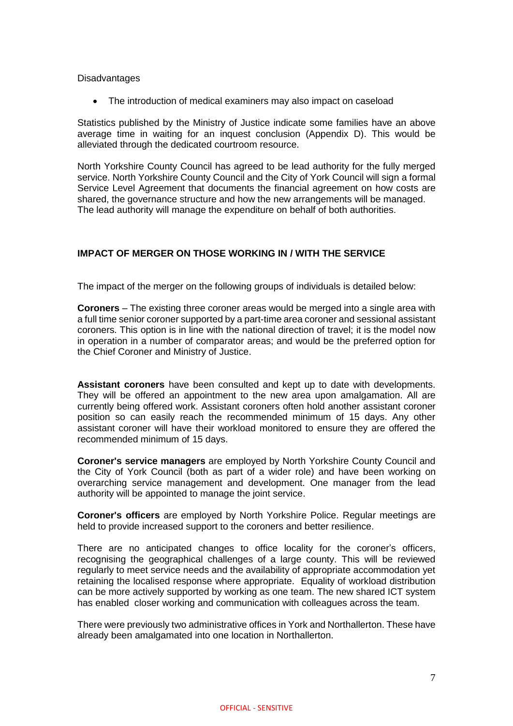#### **Disadvantages**

• The introduction of medical examiners may also impact on caseload

Statistics published by the Ministry of Justice indicate some families have an above average time in waiting for an inquest conclusion (Appendix D). This would be alleviated through the dedicated courtroom resource.

North Yorkshire County Council has agreed to be lead authority for the fully merged service. North Yorkshire County Council and the City of York Council will sign a formal Service Level Agreement that documents the financial agreement on how costs are shared, the governance structure and how the new arrangements will be managed. The lead authority will manage the expenditure on behalf of both authorities.

# **IMPACT OF MERGER ON THOSE WORKING IN / WITH THE SERVICE**

The impact of the merger on the following groups of individuals is detailed below:

**Coroners** – The existing three coroner areas would be merged into a single area with a full time senior coroner supported by a part-time area coroner and sessional assistant coroners. This option is in line with the national direction of travel; it is the model now in operation in a number of comparator areas; and would be the preferred option for the Chief Coroner and Ministry of Justice.

**Assistant coroners** have been consulted and kept up to date with developments. They will be offered an appointment to the new area upon amalgamation. All are currently being offered work. Assistant coroners often hold another assistant coroner position so can easily reach the recommended minimum of 15 days. Any other assistant coroner will have their workload monitored to ensure they are offered the recommended minimum of 15 days.

**Coroner's service managers** are employed by North Yorkshire County Council and the City of York Council (both as part of a wider role) and have been working on overarching service management and development. One manager from the lead authority will be appointed to manage the joint service.

**Coroner's officers** are employed by North Yorkshire Police. Regular meetings are held to provide increased support to the coroners and better resilience.

There are no anticipated changes to office locality for the coroner's officers, recognising the geographical challenges of a large county. This will be reviewed regularly to meet service needs and the availability of appropriate accommodation yet retaining the localised response where appropriate. Equality of workload distribution can be more actively supported by working as one team. The new shared ICT system has enabled closer working and communication with colleagues across the team.

There were previously two administrative offices in York and Northallerton. These have already been amalgamated into one location in Northallerton.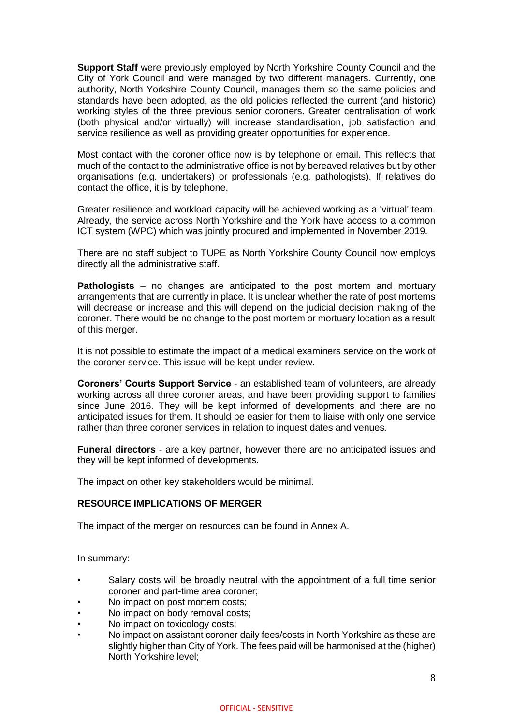**Support Staff** were previously employed by North Yorkshire County Council and the City of York Council and were managed by two different managers. Currently, one authority, North Yorkshire County Council, manages them so the same policies and standards have been adopted, as the old policies reflected the current (and historic) working styles of the three previous senior coroners. Greater centralisation of work (both physical and/or virtually) will increase standardisation, job satisfaction and service resilience as well as providing greater opportunities for experience.

Most contact with the coroner office now is by telephone or email. This reflects that much of the contact to the administrative office is not by bereaved relatives but by other organisations (e.g. undertakers) or professionals (e.g. pathologists). If relatives do contact the office, it is by telephone.

Greater resilience and workload capacity will be achieved working as a 'virtual' team. Already, the service across North Yorkshire and the York have access to a common ICT system (WPC) which was jointly procured and implemented in November 2019.

There are no staff subject to TUPE as North Yorkshire County Council now employs directly all the administrative staff.

**Pathologists** – no changes are anticipated to the post mortem and mortuary arrangements that are currently in place. It is unclear whether the rate of post mortems will decrease or increase and this will depend on the judicial decision making of the coroner. There would be no change to the post mortem or mortuary location as a result of this merger.

It is not possible to estimate the impact of a medical examiners service on the work of the coroner service. This issue will be kept under review.

**Coroners' Courts Support Service** - an established team of volunteers, are already working across all three coroner areas, and have been providing support to families since June 2016. They will be kept informed of developments and there are no anticipated issues for them. It should be easier for them to liaise with only one service rather than three coroner services in relation to inquest dates and venues.

**Funeral directors** - are a key partner, however there are no anticipated issues and they will be kept informed of developments.

The impact on other key stakeholders would be minimal.

#### **RESOURCE IMPLICATIONS OF MERGER**

The impact of the merger on resources can be found in Annex A.

In summary:

- Salary costs will be broadly neutral with the appointment of a full time senior coroner and part-time area coroner;
- No impact on post mortem costs;
- No impact on body removal costs;
- No impact on toxicology costs:
- No impact on assistant coroner daily fees/costs in North Yorkshire as these are slightly higher than City of York. The fees paid will be harmonised at the (higher) North Yorkshire level;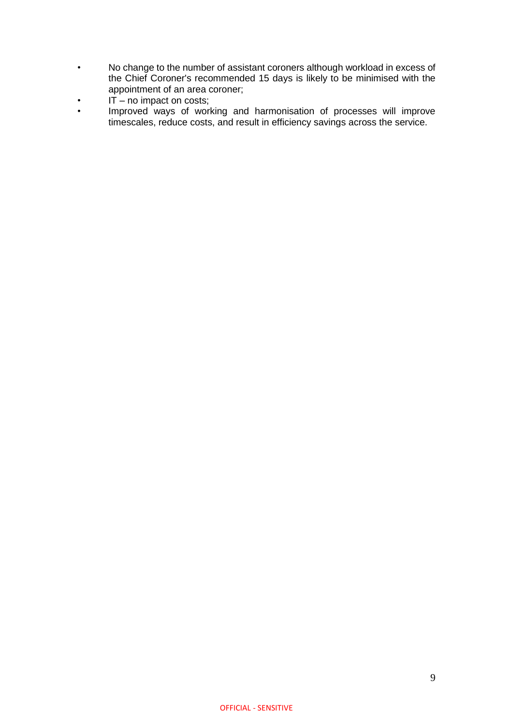- No change to the number of assistant coroners although workload in excess of the Chief Coroner's recommended 15 days is likely to be minimised with the appointment of an area coroner;
- $\cdot$  IT no impact on costs;
- Improved ways of working and harmonisation of processes will improve timescales, reduce costs, and result in efficiency savings across the service.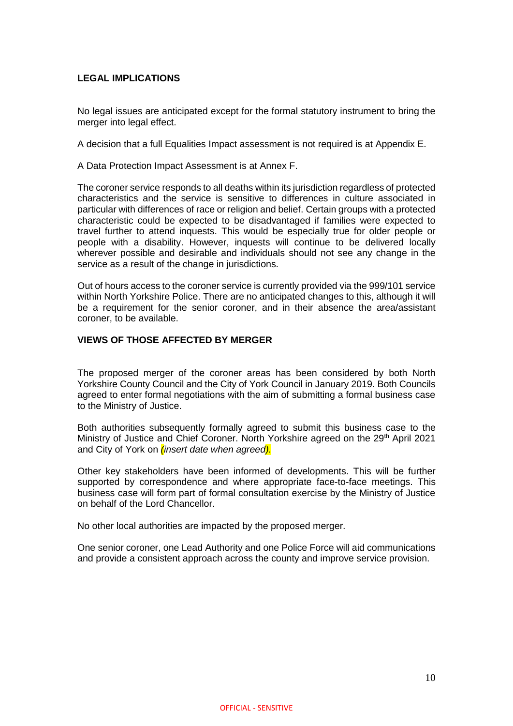### **LEGAL IMPLICATIONS**

No legal issues are anticipated except for the formal statutory instrument to bring the merger into legal effect.

A decision that a full Equalities Impact assessment is not required is at Appendix E.

A Data Protection Impact Assessment is at Annex F.

The coroner service responds to all deaths within its jurisdiction regardless of protected characteristics and the service is sensitive to differences in culture associated in particular with differences of race or religion and belief. Certain groups with a protected characteristic could be expected to be disadvantaged if families were expected to travel further to attend inquests. This would be especially true for older people or people with a disability. However, inquests will continue to be delivered locally wherever possible and desirable and individuals should not see any change in the service as a result of the change in jurisdictions.

Out of hours access to the coroner service is currently provided via the 999/101 service within North Yorkshire Police. There are no anticipated changes to this, although it will be a requirement for the senior coroner, and in their absence the area/assistant coroner, to be available.

### **VIEWS OF THOSE AFFECTED BY MERGER**

The proposed merger of the coroner areas has been considered by both North Yorkshire County Council and the City of York Council in January 2019. Both Councils agreed to enter formal negotiations with the aim of submitting a formal business case to the Ministry of Justice.

Both authorities subsequently formally agreed to submit this business case to the Ministry of Justice and Chief Coroner. North Yorkshire agreed on the 29<sup>th</sup> April 2021 and City of York on *(insert date when agreed).*

Other key stakeholders have been informed of developments. This will be further supported by correspondence and where appropriate face-to-face meetings. This business case will form part of formal consultation exercise by the Ministry of Justice on behalf of the Lord Chancellor.

No other local authorities are impacted by the proposed merger.

One senior coroner, one Lead Authority and one Police Force will aid communications and provide a consistent approach across the county and improve service provision.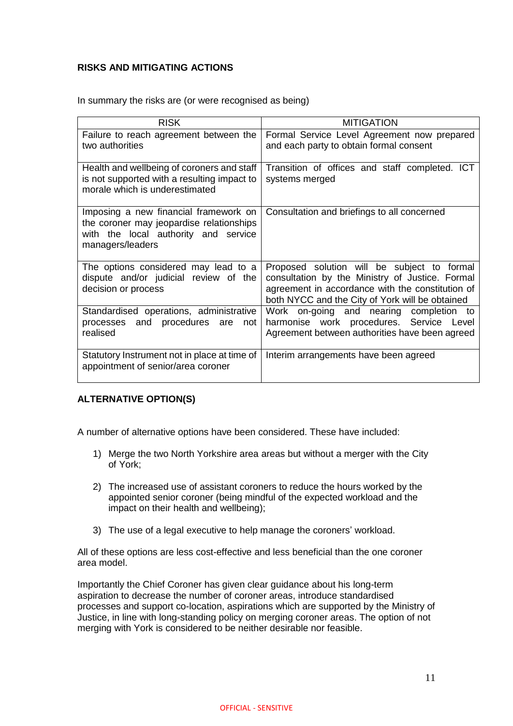# **RISKS AND MITIGATING ACTIONS**

| In summary the risks are (or were recognised as being) |  |  |
|--------------------------------------------------------|--|--|
|                                                        |  |  |

| <b>RISK</b>                                                                                                                                   | <b>MITIGATION</b>                                                                                                                                                                                     |
|-----------------------------------------------------------------------------------------------------------------------------------------------|-------------------------------------------------------------------------------------------------------------------------------------------------------------------------------------------------------|
| Failure to reach agreement between the<br>two authorities                                                                                     | Formal Service Level Agreement now prepared<br>and each party to obtain formal consent                                                                                                                |
| Health and wellbeing of coroners and staff<br>is not supported with a resulting impact to<br>morale which is underestimated                   | Transition of offices and staff completed. ICT<br>systems merged                                                                                                                                      |
| Imposing a new financial framework on<br>the coroner may jeopardise relationships<br>with the local authority and service<br>managers/leaders | Consultation and briefings to all concerned                                                                                                                                                           |
| The options considered may lead to a<br>dispute and/or judicial review of the<br>decision or process                                          | Proposed solution will be subject to formal<br>consultation by the Ministry of Justice. Formal<br>agreement in accordance with the constitution of<br>both NYCC and the City of York will be obtained |
| Standardised operations, administrative<br>and procedures<br>processes<br>are<br>not<br>realised                                              | Work on-going and nearing completion to<br>harmonise work procedures. Service Level<br>Agreement between authorities have been agreed                                                                 |
| Statutory Instrument not in place at time of<br>appointment of senior/area coroner                                                            | Interim arrangements have been agreed                                                                                                                                                                 |

## **ALTERNATIVE OPTION(S)**

A number of alternative options have been considered. These have included:

- 1) Merge the two North Yorkshire area areas but without a merger with the City of York;
- 2) The increased use of assistant coroners to reduce the hours worked by the appointed senior coroner (being mindful of the expected workload and the impact on their health and wellbeing);
- 3) The use of a legal executive to help manage the coroners' workload.

All of these options are less cost-effective and less beneficial than the one coroner area model.

Importantly the Chief Coroner has given clear guidance about his long-term aspiration to decrease the number of coroner areas, introduce standardised processes and support co-location, aspirations which are supported by the Ministry of Justice, in line with long-standing policy on merging coroner areas. The option of not merging with York is considered to be neither desirable nor feasible.